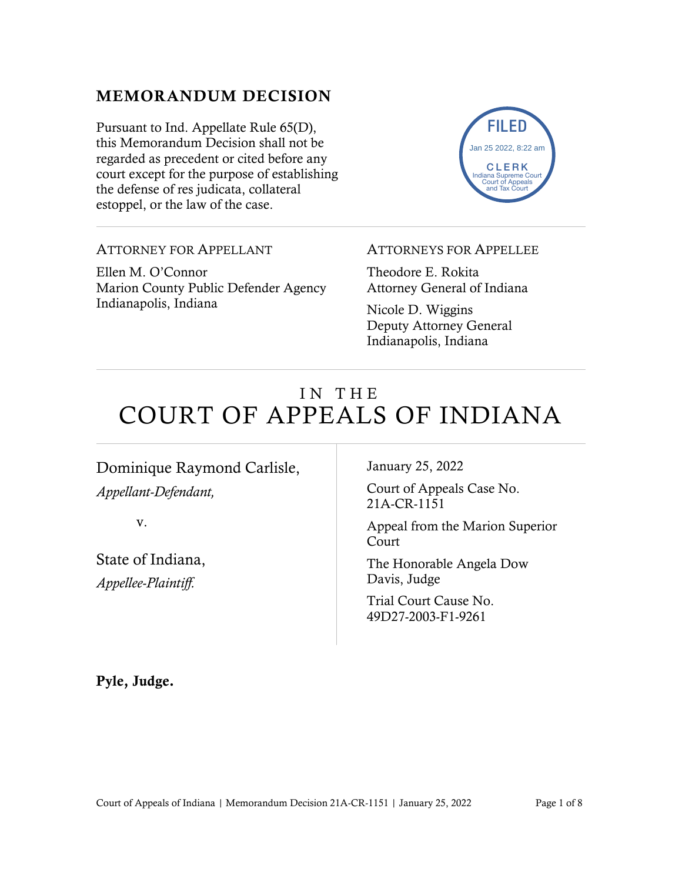## MEMORANDUM DECISION

Pursuant to Ind. Appellate Rule 65(D), this Memorandum Decision shall not be regarded as precedent or cited before any court except for the purpose of establishing the defense of res judicata, collateral estoppel, or the law of the case.



ATTORNEY FOR APPELLANT

Ellen M. O'Connor Marion County Public Defender Agency Indianapolis, Indiana

#### ATTORNEYS FOR APPELLEE

Theodore E. Rokita Attorney General of Indiana

Nicole D. Wiggins Deputy Attorney General Indianapolis, Indiana

# IN THE COURT OF APPEALS OF INDIANA

## Dominique Raymond Carlisle, *Appellant-Defendant,*

v.

State of Indiana, *Appellee-Plaintiff.*

January 25, 2022

Court of Appeals Case No. 21A-CR-1151

Appeal from the Marion Superior Court

The Honorable Angela Dow Davis, Judge

Trial Court Cause No. 49D27-2003-F1-9261

Pyle, Judge.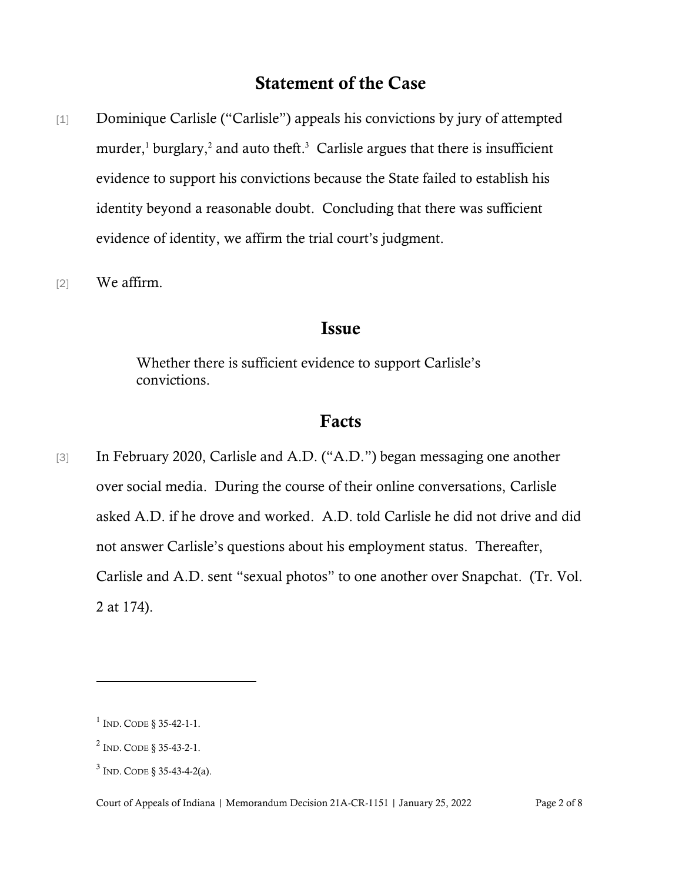## Statement of the Case

- [1] Dominique Carlisle ("Carlisle") appeals his convictions by jury of attempted murder, <sup>1</sup> burglary, <sup>2</sup> and auto theft. 3 Carlisle argues that there is insufficient evidence to support his convictions because the State failed to establish his identity beyond a reasonable doubt. Concluding that there was sufficient evidence of identity, we affirm the trial court's judgment.
- [2] We affirm.

#### Issue

Whether there is sufficient evidence to support Carlisle's convictions.

#### Facts

[3] In February 2020, Carlisle and A.D. ("A.D.") began messaging one another over social media. During the course of their online conversations, Carlisle asked A.D. if he drove and worked. A.D. told Carlisle he did not drive and did not answer Carlisle's questions about his employment status. Thereafter, Carlisle and A.D. sent "sexual photos" to one another over Snapchat. (Tr. Vol. 2 at 174).

 $1$  Ind. Code § 35-42-1-1.

 $^{2}$  Ind. Code § 35-43-2-1.

 $3$  Ind. Code § 35-43-4-2(a).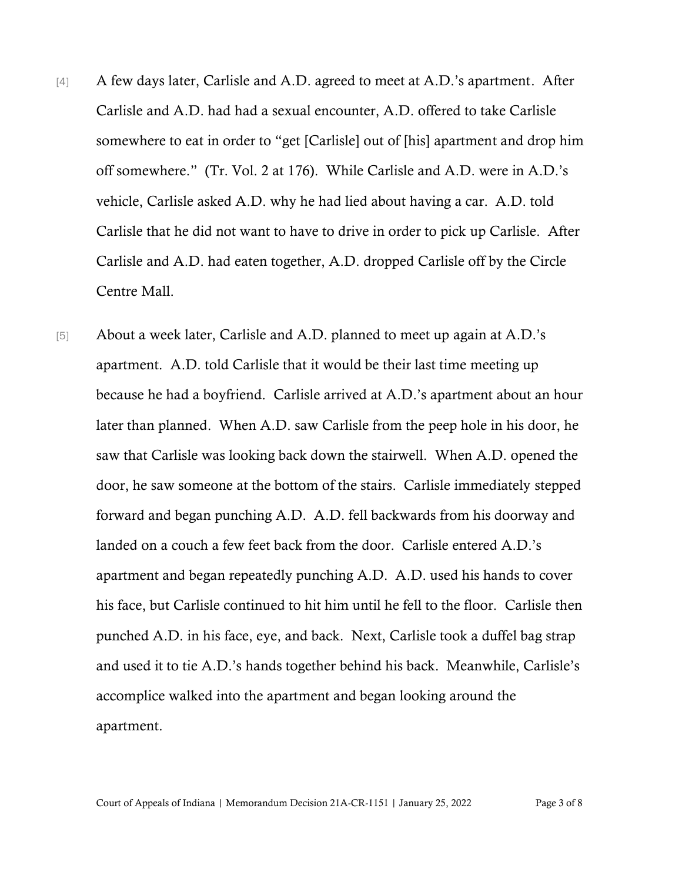- [4] A few days later, Carlisle and A.D. agreed to meet at A.D.'s apartment. After Carlisle and A.D. had had a sexual encounter, A.D. offered to take Carlisle somewhere to eat in order to "get [Carlisle] out of [his] apartment and drop him off somewhere." (Tr. Vol. 2 at 176). While Carlisle and A.D. were in A.D.'s vehicle, Carlisle asked A.D. why he had lied about having a car. A.D. told Carlisle that he did not want to have to drive in order to pick up Carlisle. After Carlisle and A.D. had eaten together, A.D. dropped Carlisle off by the Circle Centre Mall.
- [5] About a week later, Carlisle and A.D. planned to meet up again at A.D.'s apartment. A.D. told Carlisle that it would be their last time meeting up because he had a boyfriend. Carlisle arrived at A.D.'s apartment about an hour later than planned. When A.D. saw Carlisle from the peep hole in his door, he saw that Carlisle was looking back down the stairwell. When A.D. opened the door, he saw someone at the bottom of the stairs. Carlisle immediately stepped forward and began punching A.D. A.D. fell backwards from his doorway and landed on a couch a few feet back from the door. Carlisle entered A.D.'s apartment and began repeatedly punching A.D. A.D. used his hands to cover his face, but Carlisle continued to hit him until he fell to the floor. Carlisle then punched A.D. in his face, eye, and back. Next, Carlisle took a duffel bag strap and used it to tie A.D.'s hands together behind his back. Meanwhile, Carlisle's accomplice walked into the apartment and began looking around the apartment.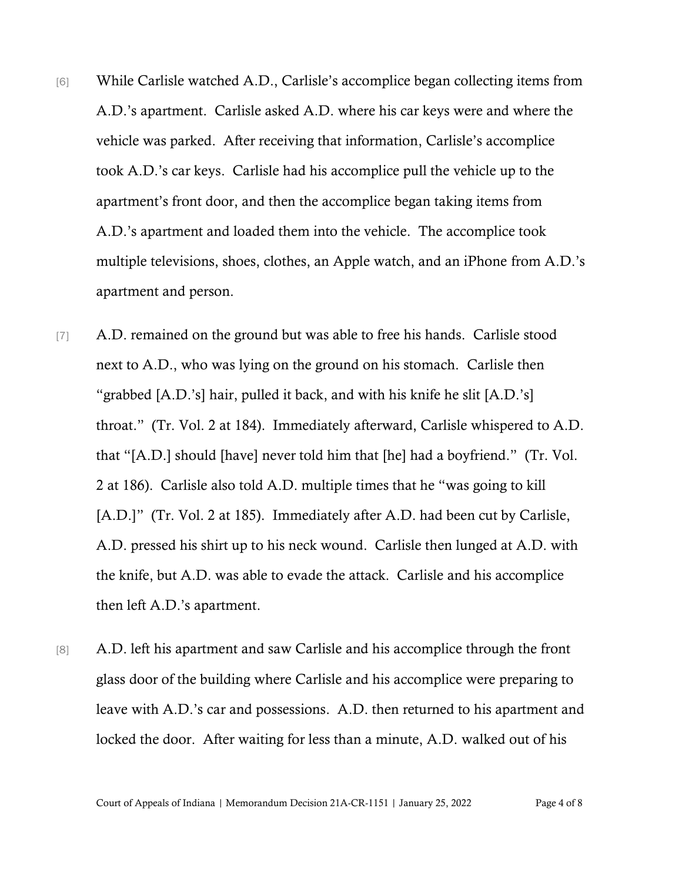- [6] While Carlisle watched A.D., Carlisle's accomplice began collecting items from A.D.'s apartment. Carlisle asked A.D. where his car keys were and where the vehicle was parked. After receiving that information, Carlisle's accomplice took A.D.'s car keys. Carlisle had his accomplice pull the vehicle up to the apartment's front door, and then the accomplice began taking items from A.D.'s apartment and loaded them into the vehicle. The accomplice took multiple televisions, shoes, clothes, an Apple watch, and an iPhone from A.D.'s apartment and person.
- [7] A.D. remained on the ground but was able to free his hands. Carlisle stood next to A.D., who was lying on the ground on his stomach. Carlisle then "grabbed [A.D.'s] hair, pulled it back, and with his knife he slit [A.D.'s] throat." (Tr. Vol. 2 at 184). Immediately afterward, Carlisle whispered to A.D. that "[A.D.] should [have] never told him that [he] had a boyfriend." (Tr. Vol. 2 at 186). Carlisle also told A.D. multiple times that he "was going to kill [A.D.]" (Tr. Vol. 2 at 185). Immediately after A.D. had been cut by Carlisle, A.D. pressed his shirt up to his neck wound. Carlisle then lunged at A.D. with the knife, but A.D. was able to evade the attack. Carlisle and his accomplice then left A.D.'s apartment.
- [8] A.D. left his apartment and saw Carlisle and his accomplice through the front glass door of the building where Carlisle and his accomplice were preparing to leave with A.D.'s car and possessions. A.D. then returned to his apartment and locked the door. After waiting for less than a minute, A.D. walked out of his

Court of Appeals of Indiana | Memorandum Decision 21A-CR-1151 | January 25, 2022 Page 4 of 8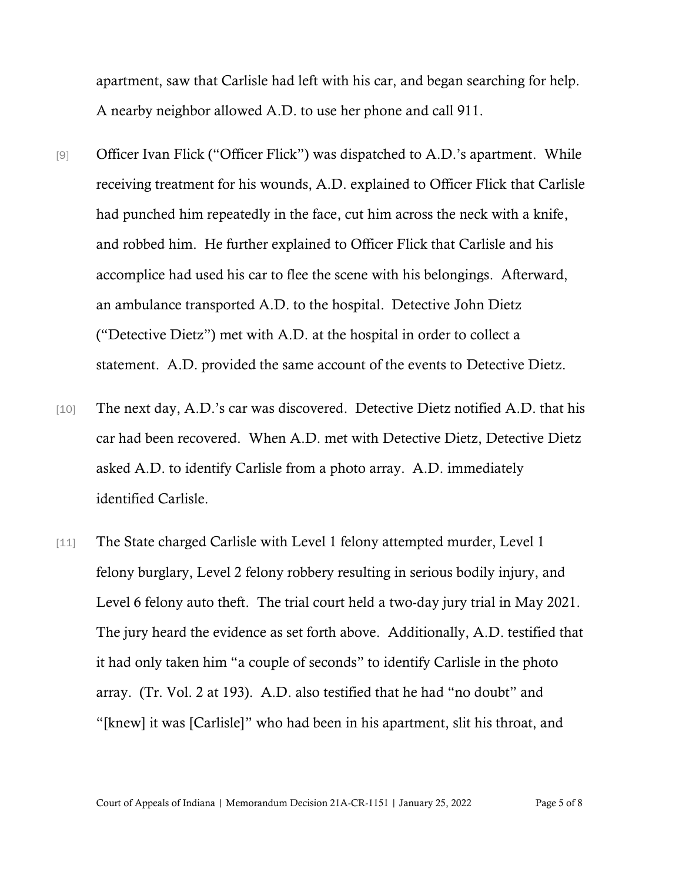apartment, saw that Carlisle had left with his car, and began searching for help. A nearby neighbor allowed A.D. to use her phone and call 911.

- [9] Officer Ivan Flick ("Officer Flick") was dispatched to A.D.'s apartment. While receiving treatment for his wounds, A.D. explained to Officer Flick that Carlisle had punched him repeatedly in the face, cut him across the neck with a knife, and robbed him. He further explained to Officer Flick that Carlisle and his accomplice had used his car to flee the scene with his belongings. Afterward, an ambulance transported A.D. to the hospital. Detective John Dietz ("Detective Dietz") met with A.D. at the hospital in order to collect a statement. A.D. provided the same account of the events to Detective Dietz.
- [10] The next day, A.D.'s car was discovered. Detective Dietz notified A.D. that his car had been recovered. When A.D. met with Detective Dietz, Detective Dietz asked A.D. to identify Carlisle from a photo array. A.D. immediately identified Carlisle.
- [11] The State charged Carlisle with Level 1 felony attempted murder, Level 1 felony burglary, Level 2 felony robbery resulting in serious bodily injury, and Level 6 felony auto theft. The trial court held a two-day jury trial in May 2021. The jury heard the evidence as set forth above. Additionally, A.D. testified that it had only taken him "a couple of seconds" to identify Carlisle in the photo array. (Tr. Vol. 2 at 193). A.D. also testified that he had "no doubt" and "[knew] it was [Carlisle]" who had been in his apartment, slit his throat, and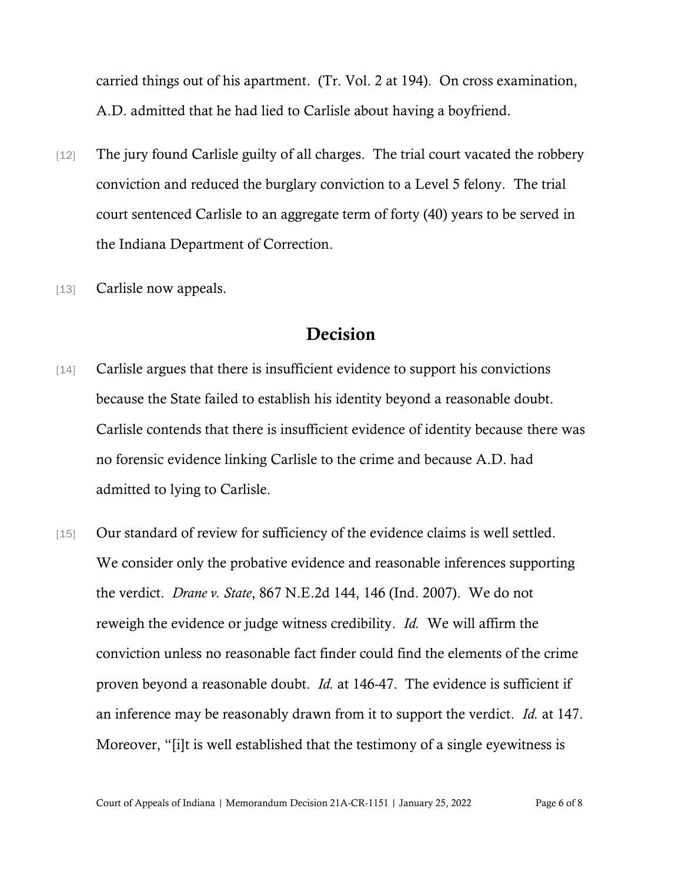carried things out of his apartment. (Tr. Vol. 2 at 194). On cross examination, A.D. admitted that he had lied to Carlisle about having a boyfriend.

- [12] The jury found Carlisle guilty of all charges. The trial court vacated the robbery conviction and reduced the burglary conviction to a Level 5 felony. The trial court sentenced Carlisle to an aggregate term of forty (40) years to be served in the Indiana Department of Correction.
- [13] Carlisle now appeals.

### Decision

- [14] Carlisle argues that there is insufficient evidence to support his convictions because the State failed to establish his identity beyond a reasonable doubt. Carlisle contends that there is insufficient evidence of identity because there was no forensic evidence linking Carlisle to the crime and because A.D. had admitted to lying to Carlisle.
- [15] Our standard of review for sufficiency of the evidence claims is well settled. We consider only the probative evidence and reasonable inferences supporting the verdict. *Drane v. State*, 867 N.E.2d 144, 146 (Ind. 2007). We do not reweigh the evidence or judge witness credibility. *Id.* We will affirm the conviction unless no reasonable fact finder could find the elements of the crime proven beyond a reasonable doubt. *Id.* at 146-47. The evidence is sufficient if an inference may be reasonably drawn from it to support the verdict. *Id.* at 147. Moreover, "[i]t is well established that the testimony of a single eyewitness is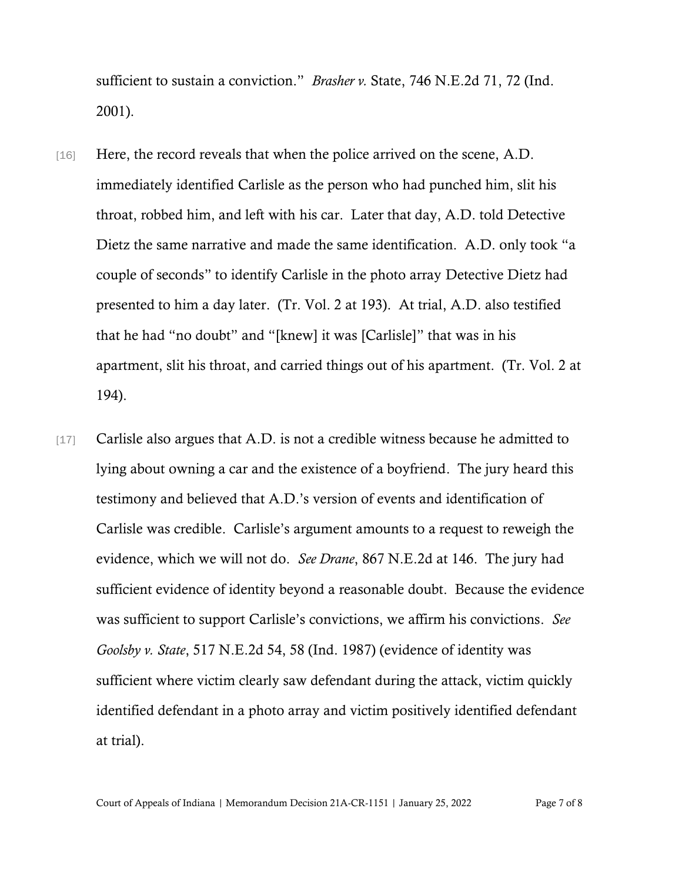sufficient to sustain a conviction." *Brasher v.* State, 746 N.E.2d 71, 72 (Ind. 2001).

- [16] Here, the record reveals that when the police arrived on the scene, A.D. immediately identified Carlisle as the person who had punched him, slit his throat, robbed him, and left with his car. Later that day, A.D. told Detective Dietz the same narrative and made the same identification. A.D. only took "a couple of seconds" to identify Carlisle in the photo array Detective Dietz had presented to him a day later. (Tr. Vol. 2 at 193). At trial, A.D. also testified that he had "no doubt" and "[knew] it was [Carlisle]" that was in his apartment, slit his throat, and carried things out of his apartment. (Tr. Vol. 2 at 194).
- [17] Carlisle also argues that A.D. is not a credible witness because he admitted to lying about owning a car and the existence of a boyfriend. The jury heard this testimony and believed that A.D.'s version of events and identification of Carlisle was credible. Carlisle's argument amounts to a request to reweigh the evidence, which we will not do. *See Drane*, 867 N.E.2d at 146. The jury had sufficient evidence of identity beyond a reasonable doubt. Because the evidence was sufficient to support Carlisle's convictions, we affirm his convictions. *See Goolsby v. State*, 517 N.E.2d 54, 58 (Ind. 1987) (evidence of identity was sufficient where victim clearly saw defendant during the attack, victim quickly identified defendant in a photo array and victim positively identified defendant at trial).